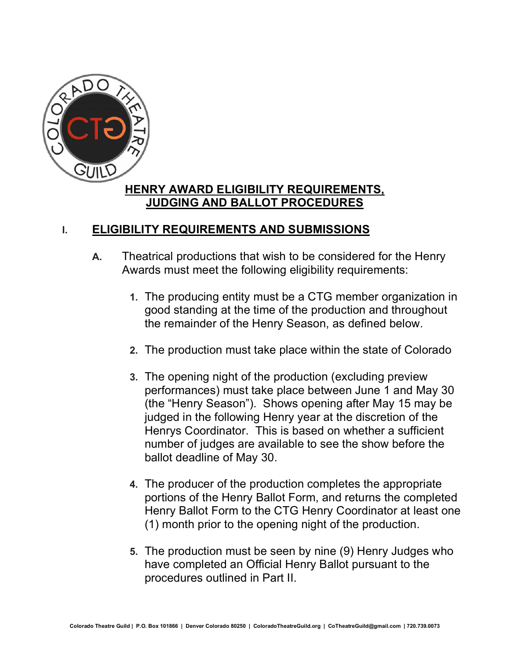

## **HENRY AWARD ELIGIBILITY REQUIREMENTS, JUDGING AND BALLOT PROCEDURES**

## **I. ELIGIBILITY REQUIREMENTS AND SUBMISSIONS**

- **A.** Theatrical productions that wish to be considered for the Henry Awards must meet the following eligibility requirements:
	- **1.** The producing entity must be a CTG member organization in good standing at the time of the production and throughout the remainder of the Henry Season, as defined below.
	- **2.** The production must take place within the state of Colorado
	- **3.** The opening night of the production (excluding preview performances) must take place between June 1 and May 30 (the "Henry Season"). Shows opening after May 15 may be judged in the following Henry year at the discretion of the Henrys Coordinator. This is based on whether a sufficient number of judges are available to see the show before the ballot deadline of May 30.
	- **4.** The producer of the production completes the appropriate portions of the Henry Ballot Form, and returns the completed Henry Ballot Form to the CTG Henry Coordinator at least one (1) month prior to the opening night of the production.
	- **5.** The production must be seen by nine (9) Henry Judges who have completed an Official Henry Ballot pursuant to the procedures outlined in Part II.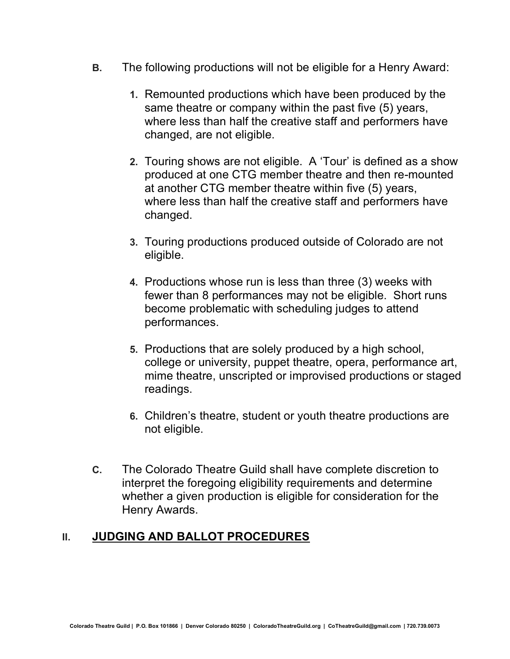- **B.** The following productions will not be eligible for a Henry Award:
	- **1.** Remounted productions which have been produced by the same theatre or company within the past five (5) years, where less than half the creative staff and performers have changed, are not eligible.
	- **2.** Touring shows are not eligible. A 'Tour' is defined as a show produced at one CTG member theatre and then re-mounted at another CTG member theatre within five (5) years, where less than half the creative staff and performers have changed.
	- **3.** Touring productions produced outside of Colorado are not eligible.
	- **4.** Productions whose run is less than three (3) weeks with fewer than 8 performances may not be eligible. Short runs become problematic with scheduling judges to attend performances.
	- **5.** Productions that are solely produced by a high school, college or university, puppet theatre, opera, performance art, mime theatre, unscripted or improvised productions or staged readings.
	- **6.** Children's theatre, student or youth theatre productions are not eligible.
- **C.** The Colorado Theatre Guild shall have complete discretion to interpret the foregoing eligibility requirements and determine whether a given production is eligible for consideration for the Henry Awards.

## **II. JUDGING AND BALLOT PROCEDURES**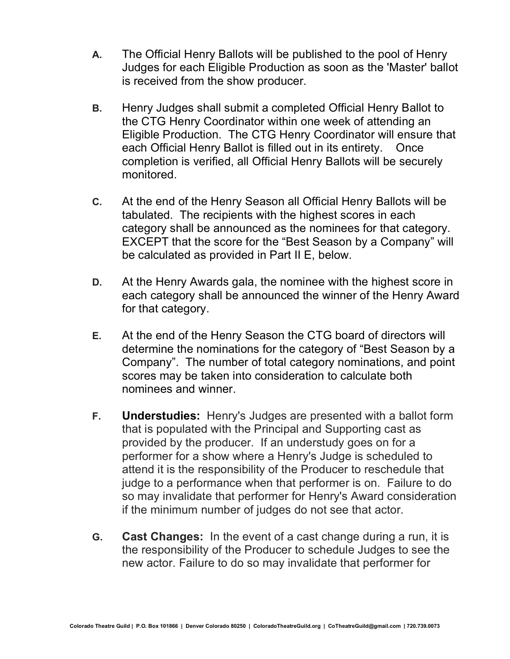- **A.** The Official Henry Ballots will be published to the pool of Henry Judges for each Eligible Production as soon as the 'Master' ballot is received from the show producer.
- **B.** Henry Judges shall submit a completed Official Henry Ballot to the CTG Henry Coordinator within one week of attending an Eligible Production. The CTG Henry Coordinator will ensure that each Official Henry Ballot is filled out in its entirety. Once completion is verified, all Official Henry Ballots will be securely monitored.
- **C.** At the end of the Henry Season all Official Henry Ballots will be tabulated. The recipients with the highest scores in each category shall be announced as the nominees for that category. EXCEPT that the score for the "Best Season by a Company" will be calculated as provided in Part II E, below.
- **D.** At the Henry Awards gala, the nominee with the highest score in each category shall be announced the winner of the Henry Award for that category.
- **E.** At the end of the Henry Season the CTG board of directors will determine the nominations for the category of "Best Season by a Company". The number of total category nominations, and point scores may be taken into consideration to calculate both nominees and winner.
- **F. Understudies:** Henry's Judges are presented with a ballot form that is populated with the Principal and Supporting cast as provided by the producer. If an understudy goes on for a performer for a show where a Henry's Judge is scheduled to attend it is the responsibility of the Producer to reschedule that judge to a performance when that performer is on. Failure to do so may invalidate that performer for Henry's Award consideration if the minimum number of judges do not see that actor.
- **G. Cast Changes:** In the event of a cast change during a run, it is the responsibility of the Producer to schedule Judges to see the new actor. Failure to do so may invalidate that performer for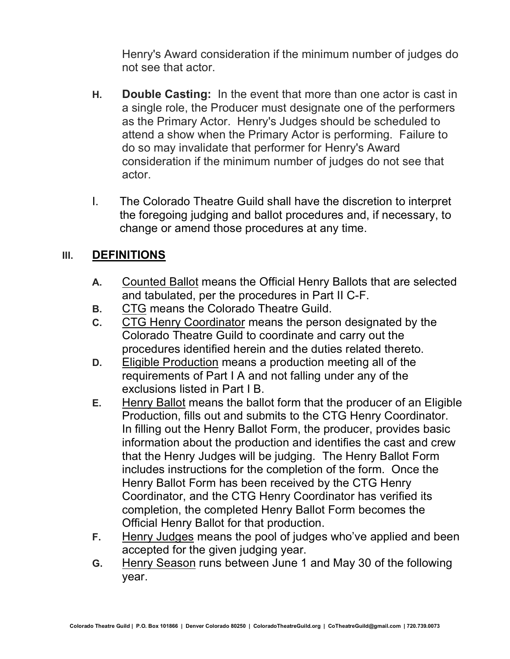Henry's Award consideration if the minimum number of judges do not see that actor.

- **H. Double Casting:** In the event that more than one actor is cast in a single role, the Producer must designate one of the performers as the Primary Actor. Henry's Judges should be scheduled to attend a show when the Primary Actor is performing. Failure to do so may invalidate that performer for Henry's Award consideration if the minimum number of judges do not see that actor.
- I. The Colorado Theatre Guild shall have the discretion to interpret the foregoing judging and ballot procedures and, if necessary, to change or amend those procedures at any time.

## **III. DEFINITIONS**

- **A.** Counted Ballot means the Official Henry Ballots that are selected and tabulated, per the procedures in Part II C-F.
- **B.** CTG means the Colorado Theatre Guild.
- **C.** CTG Henry Coordinator means the person designated by the Colorado Theatre Guild to coordinate and carry out the procedures identified herein and the duties related thereto.
- **D.** Eligible Production means a production meeting all of the requirements of Part I A and not falling under any of the exclusions listed in Part I B.
- **E.** Henry Ballot means the ballot form that the producer of an Eligible Production, fills out and submits to the CTG Henry Coordinator. In filling out the Henry Ballot Form, the producer, provides basic information about the production and identifies the cast and crew that the Henry Judges will be judging. The Henry Ballot Form includes instructions for the completion of the form. Once the Henry Ballot Form has been received by the CTG Henry Coordinator, and the CTG Henry Coordinator has verified its completion, the completed Henry Ballot Form becomes the Official Henry Ballot for that production.
- **F.** Henry Judges means the pool of judges who've applied and been accepted for the given judging year.
- **G.** Henry Season runs between June 1 and May 30 of the following year.